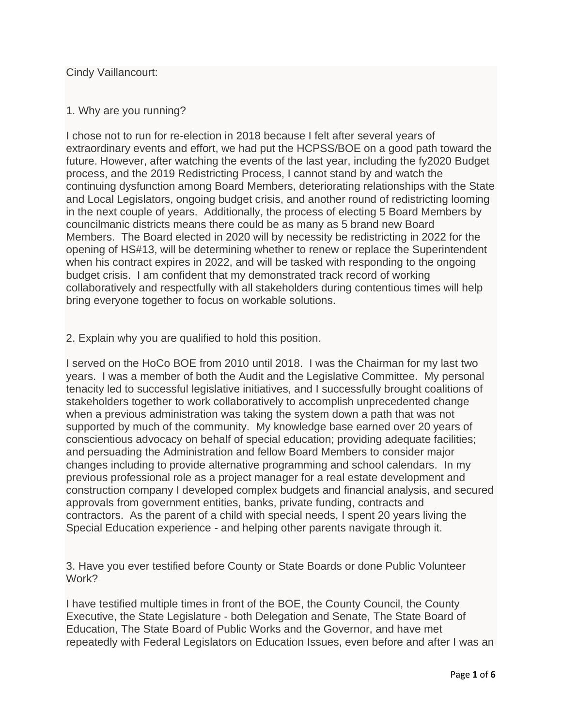Cindy Vaillancourt:

## 1. Why are you running?

I chose not to run for re-election in 2018 because I felt after several years of extraordinary events and effort, we had put the HCPSS/BOE on a good path toward the future. However, after watching the events of the last year, including the fy2020 Budget process, and the 2019 Redistricting Process, I cannot stand by and watch the continuing dysfunction among Board Members, deteriorating relationships with the State and Local Legislators, ongoing budget crisis, and another round of redistricting looming in the next couple of years. Additionally, the process of electing 5 Board Members by councilmanic districts means there could be as many as 5 brand new Board Members. The Board elected in 2020 will by necessity be redistricting in 2022 for the opening of HS#13, will be determining whether to renew or replace the Superintendent when his contract expires in 2022, and will be tasked with responding to the ongoing budget crisis. I am confident that my demonstrated track record of working collaboratively and respectfully with all stakeholders during contentious times will help bring everyone together to focus on workable solutions.

## 2. Explain why you are qualified to hold this position.

I served on the HoCo BOE from 2010 until 2018. I was the Chairman for my last two years. I was a member of both the Audit and the Legislative Committee. My personal tenacity led to successful legislative initiatives, and I successfully brought coalitions of stakeholders together to work collaboratively to accomplish unprecedented change when a previous administration was taking the system down a path that was not supported by much of the community. My knowledge base earned over 20 years of conscientious advocacy on behalf of special education; providing adequate facilities; and persuading the Administration and fellow Board Members to consider major changes including to provide alternative programming and school calendars. In my previous professional role as a project manager for a real estate development and construction company I developed complex budgets and financial analysis, and secured approvals from government entities, banks, private funding, contracts and contractors. As the parent of a child with special needs, I spent 20 years living the Special Education experience - and helping other parents navigate through it.

3. Have you ever testified before County or State Boards or done Public Volunteer Work?

I have testified multiple times in front of the BOE, the County Council, the County Executive, the State Legislature - both Delegation and Senate, The State Board of Education, The State Board of Public Works and the Governor, and have met repeatedly with Federal Legislators on Education Issues, even before and after I was an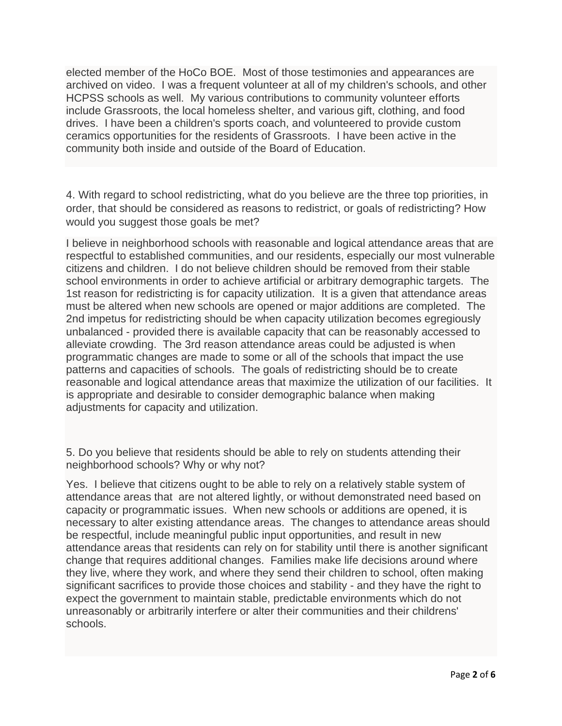elected member of the HoCo BOE. Most of those testimonies and appearances are archived on video. I was a frequent volunteer at all of my children's schools, and other HCPSS schools as well. My various contributions to community volunteer efforts include Grassroots, the local homeless shelter, and various gift, clothing, and food drives. I have been a children's sports coach, and volunteered to provide custom ceramics opportunities for the residents of Grassroots. I have been active in the community both inside and outside of the Board of Education.

4. With regard to school redistricting, what do you believe are the three top priorities, in order, that should be considered as reasons to redistrict, or goals of redistricting? How would you suggest those goals be met?

I believe in neighborhood schools with reasonable and logical attendance areas that are respectful to established communities, and our residents, especially our most vulnerable citizens and children. I do not believe children should be removed from their stable school environments in order to achieve artificial or arbitrary demographic targets. The 1st reason for redistricting is for capacity utilization. It is a given that attendance areas must be altered when new schools are opened or major additions are completed. The 2nd impetus for redistricting should be when capacity utilization becomes egregiously unbalanced - provided there is available capacity that can be reasonably accessed to alleviate crowding. The 3rd reason attendance areas could be adjusted is when programmatic changes are made to some or all of the schools that impact the use patterns and capacities of schools. The goals of redistricting should be to create reasonable and logical attendance areas that maximize the utilization of our facilities. It is appropriate and desirable to consider demographic balance when making adjustments for capacity and utilization.

5. Do you believe that residents should be able to rely on students attending their neighborhood schools? Why or why not?

Yes. I believe that citizens ought to be able to rely on a relatively stable system of attendance areas that are not altered lightly, or without demonstrated need based on capacity or programmatic issues. When new schools or additions are opened, it is necessary to alter existing attendance areas. The changes to attendance areas should be respectful, include meaningful public input opportunities, and result in new attendance areas that residents can rely on for stability until there is another significant change that requires additional changes. Families make life decisions around where they live, where they work, and where they send their children to school, often making significant sacrifices to provide those choices and stability - and they have the right to expect the government to maintain stable, predictable environments which do not unreasonably or arbitrarily interfere or alter their communities and their childrens' schools.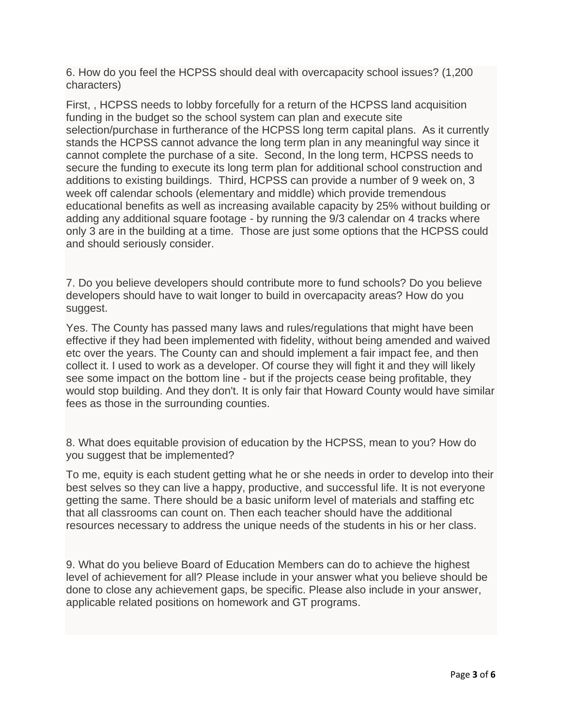6. How do you feel the HCPSS should deal with overcapacity school issues? (1,200 characters)

First, , HCPSS needs to lobby forcefully for a return of the HCPSS land acquisition funding in the budget so the school system can plan and execute site selection/purchase in furtherance of the HCPSS long term capital plans. As it currently stands the HCPSS cannot advance the long term plan in any meaningful way since it cannot complete the purchase of a site. Second, In the long term, HCPSS needs to secure the funding to execute its long term plan for additional school construction and additions to existing buildings. Third, HCPSS can provide a number of 9 week on, 3 week off calendar schools (elementary and middle) which provide tremendous educational benefits as well as increasing available capacity by 25% without building or adding any additional square footage - by running the 9/3 calendar on 4 tracks where only 3 are in the building at a time. Those are just some options that the HCPSS could and should seriously consider.

7. Do you believe developers should contribute more to fund schools? Do you believe developers should have to wait longer to build in overcapacity areas? How do you suggest.

Yes. The County has passed many laws and rules/regulations that might have been effective if they had been implemented with fidelity, without being amended and waived etc over the years. The County can and should implement a fair impact fee, and then collect it. I used to work as a developer. Of course they will fight it and they will likely see some impact on the bottom line - but if the projects cease being profitable, they would stop building. And they don't. It is only fair that Howard County would have similar fees as those in the surrounding counties.

8. What does equitable provision of education by the HCPSS, mean to you? How do you suggest that be implemented?

To me, equity is each student getting what he or she needs in order to develop into their best selves so they can live a happy, productive, and successful life. It is not everyone getting the same. There should be a basic uniform level of materials and staffing etc that all classrooms can count on. Then each teacher should have the additional resources necessary to address the unique needs of the students in his or her class.

9. What do you believe Board of Education Members can do to achieve the highest level of achievement for all? Please include in your answer what you believe should be done to close any achievement gaps, be specific. Please also include in your answer, applicable related positions on homework and GT programs.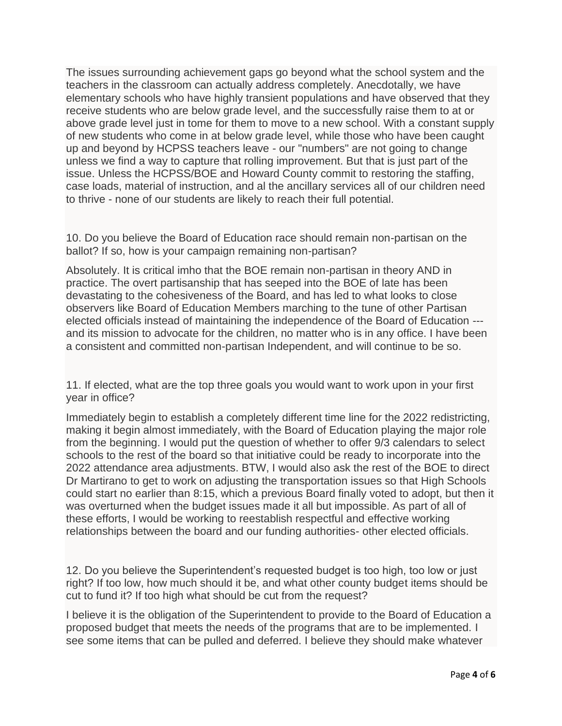The issues surrounding achievement gaps go beyond what the school system and the teachers in the classroom can actually address completely. Anecdotally, we have elementary schools who have highly transient populations and have observed that they receive students who are below grade level, and the successfully raise them to at or above grade level just in tome for them to move to a new school. With a constant supply of new students who come in at below grade level, while those who have been caught up and beyond by HCPSS teachers leave - our "numbers" are not going to change unless we find a way to capture that rolling improvement. But that is just part of the issue. Unless the HCPSS/BOE and Howard County commit to restoring the staffing, case loads, material of instruction, and al the ancillary services all of our children need to thrive - none of our students are likely to reach their full potential.

10. Do you believe the Board of Education race should remain non-partisan on the ballot? If so, how is your campaign remaining non-partisan?

Absolutely. It is critical imho that the BOE remain non-partisan in theory AND in practice. The overt partisanship that has seeped into the BOE of late has been devastating to the cohesiveness of the Board, and has led to what looks to close observers like Board of Education Members marching to the tune of other Partisan elected officials instead of maintaining the independence of the Board of Education -- and its mission to advocate for the children, no matter who is in any office. I have been a consistent and committed non-partisan Independent, and will continue to be so.

11. If elected, what are the top three goals you would want to work upon in your first year in office?

Immediately begin to establish a completely different time line for the 2022 redistricting, making it begin almost immediately, with the Board of Education playing the major role from the beginning. I would put the question of whether to offer 9/3 calendars to select schools to the rest of the board so that initiative could be ready to incorporate into the 2022 attendance area adjustments. BTW, I would also ask the rest of the BOE to direct Dr Martirano to get to work on adjusting the transportation issues so that High Schools could start no earlier than 8:15, which a previous Board finally voted to adopt, but then it was overturned when the budget issues made it all but impossible. As part of all of these efforts, I would be working to reestablish respectful and effective working relationships between the board and our funding authorities- other elected officials.

12. Do you believe the Superintendent's requested budget is too high, too low or just right? If too low, how much should it be, and what other county budget items should be cut to fund it? If too high what should be cut from the request?

I believe it is the obligation of the Superintendent to provide to the Board of Education a proposed budget that meets the needs of the programs that are to be implemented. I see some items that can be pulled and deferred. I believe they should make whatever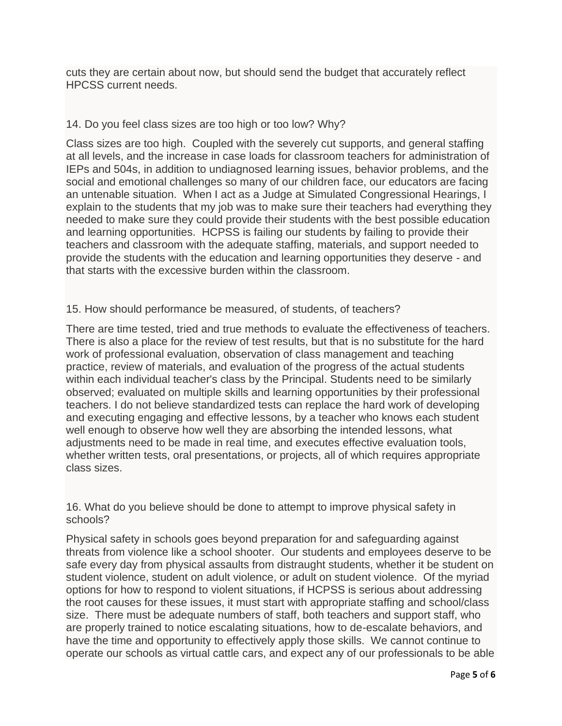cuts they are certain about now, but should send the budget that accurately reflect HPCSS current needs.

## 14. Do you feel class sizes are too high or too low? Why?

Class sizes are too high. Coupled with the severely cut supports, and general staffing at all levels, and the increase in case loads for classroom teachers for administration of IEPs and 504s, in addition to undiagnosed learning issues, behavior problems, and the social and emotional challenges so many of our children face, our educators are facing an untenable situation. When I act as a Judge at Simulated Congressional Hearings, I explain to the students that my job was to make sure their teachers had everything they needed to make sure they could provide their students with the best possible education and learning opportunities. HCPSS is failing our students by failing to provide their teachers and classroom with the adequate staffing, materials, and support needed to provide the students with the education and learning opportunities they deserve - and that starts with the excessive burden within the classroom.

## 15. How should performance be measured, of students, of teachers?

There are time tested, tried and true methods to evaluate the effectiveness of teachers. There is also a place for the review of test results, but that is no substitute for the hard work of professional evaluation, observation of class management and teaching practice, review of materials, and evaluation of the progress of the actual students within each individual teacher's class by the Principal. Students need to be similarly observed; evaluated on multiple skills and learning opportunities by their professional teachers. I do not believe standardized tests can replace the hard work of developing and executing engaging and effective lessons, by a teacher who knows each student well enough to observe how well they are absorbing the intended lessons, what adjustments need to be made in real time, and executes effective evaluation tools, whether written tests, oral presentations, or projects, all of which requires appropriate class sizes.

16. What do you believe should be done to attempt to improve physical safety in schools?

Physical safety in schools goes beyond preparation for and safeguarding against threats from violence like a school shooter. Our students and employees deserve to be safe every day from physical assaults from distraught students, whether it be student on student violence, student on adult violence, or adult on student violence. Of the myriad options for how to respond to violent situations, if HCPSS is serious about addressing the root causes for these issues, it must start with appropriate staffing and school/class size. There must be adequate numbers of staff, both teachers and support staff, who are properly trained to notice escalating situations, how to de-escalate behaviors, and have the time and opportunity to effectively apply those skills. We cannot continue to operate our schools as virtual cattle cars, and expect any of our professionals to be able